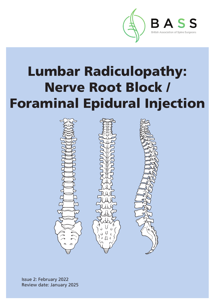

## Lumbar Radiculopathy: Nerve Root Block / Foraminal Epidural Injection



Issue 2: February 2022 Review date: January 2025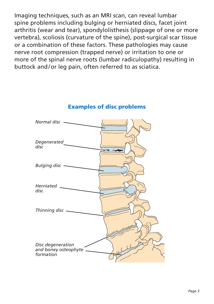Imaging techniques, such as an MRI scan, can reveal lumbar spine problems including bulging or herniated discs, facet joint arthritis (wear and tear), spondylolisthesis (slippage of one or more vertebra), scoliosis (curvature of the spine), post-surgical scar tissue or a combination of these factors. These pathologies may cause nerve root compression (trapped nerve) or irritation to one or more of the spinal nerve roots (lumbar radiculopathy) resulting in buttock and/or leg pain, often referred to as sciatica.



#### Examples of disc problems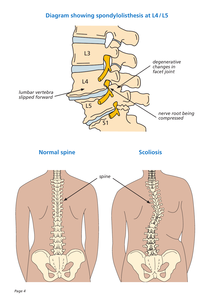#### **Diagram showing spondylolisthesis at L4/ L5**



**Normal spine Scoliosis** 

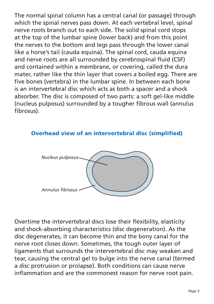The normal spinal column has a central canal (or passage) through which the spinal nerves pass down. At each vertebral level, spinal nerve roots branch out to each side. The solid spinal cord stops at the top of the lumbar spine (lower back) and from this point the nerves to the bottom and legs pass through the lower canal like a horse's tail (cauda equina). The spinal cord, cauda equina and nerve roots are all surrounded by cerebrospinal fluid (CSF) and contained within a membrane, or covering, called the dura mater, rather like the thin layer that covers a boiled egg. There are five bones (vertebra) in the lumbar spine. In between each bone is an intervertebral disc which acts as both a spacer and a shock absorber. The disc is composed of two parts: a soft gel-like middle (nucleus pulposus) surrounded by a tougher fibrous wall (annulus fibrosus).

#### Overhead view of an intervertebral disc (simplified)



Overtime the intervertebral discs lose their flexibility, elasticity and shock-absorbing characteristics (disc degeneration). As the disc degenerates, it can become thin and the bony canal for the nerve root closes down. Sometimes, the tough outer layer of ligaments that surrounds the intervertebral disc may weaken and tear, causing the central gel to bulge into the nerve canal (termed a disc protrusion or prolapse). Both conditions can cause nerve inflammation and are the commonest reason for nerve root pain.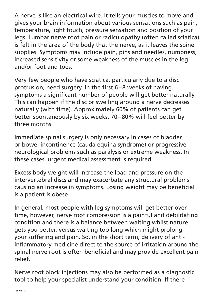A nerve is like an electrical wire. It tells your muscles to move and gives your brain information about various sensations such as pain, temperature, light touch, pressure sensation and position of your legs. Lumbar nerve root pain or radiculopathy (often called sciatica) is felt in the area of the body that the nerve, as it leaves the spine supplies. Symptoms may include pain, pins and needles, numbness, increased sensitivity or some weakness of the muscles in the leg and/or foot and toes.

Very few people who have sciatica, particularly due to a disc protrusion, need surgery. In the first 6–8 weeks of having symptoms a significant number of people will get better naturally. This can happen if the disc or swelling around a nerve decreases naturally (with time). Approximately 60% of patients can get better spontaneously by six weeks. 70–80% will feel better by three months.

Immediate spinal surgery is only necessary in cases of bladder or bowel incontinence (cauda equina syndrome) or progressive neurological problems such as paralysis or extreme weakness. In these cases, urgent medical assessment is required.

Excess body weight will increase the load and pressure on the intervertebral discs and may exacerbate any structural problems causing an increase in symptoms. Losing weight may be beneficial is a patient is obese.

In general, most people with leg symptoms will get better over time, however, nerve root compression is a painful and debilitating condition and there is a balance between waiting whilst nature gets you better, versus waiting too long which might prolong your suffering and pain. So, in the short term, delivery of antiinflammatory medicine direct to the source of irritation around the spinal nerve root is often beneficial and may provide excellent pain relief.

Nerve root block injections may also be performed as a diagnostic tool to help your specialist understand your condition. If there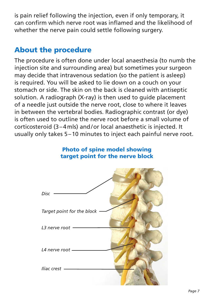is pain relief following the injection, even if only temporary, it can confirm which nerve root was inflamed and the likelihood of whether the nerve pain could settle following surgery.

#### About the procedure

The procedure is often done under local anaesthesia (to numb the injection site and surrounding area) but sometimes your surgeon may decide that intravenous sedation (so the patient is asleep) is required. You will be asked to lie down on a couch on your stomach or side. The skin on the back is cleaned with antiseptic solution. A radiograph (X-ray) is then used to guide placement of a needle just outside the nerve root, close to where it leaves in between the vertebral bodies. Radiographic contrast (or dye) is often used to outline the nerve root before a small volume of corticosteroid (3–4mls) and/or local anaesthetic is injected. It usually only takes 5–10 minutes to inject each painful nerve root.

# Photo of spine model showing target point for the nerve block *Disc Target point for the block L3 nerve root L4 nerve root Iliac crest*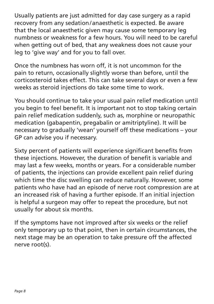Usually patients are just admitted for day case surgery as a rapid recovery from any sedation/anaesthetic is expected. Be aware that the local anaesthetic given may cause some temporary leg numbness or weakness for a few hours. You will need to be careful when getting out of bed, that any weakness does not cause your leg to 'give way' and for you to fall over.

Once the numbness has worn off, it is not uncommon for the pain to return, occasionally slightly worse than before, until the corticosteroid takes effect. This can take several days or even a few weeks as steroid injections do take some time to work.

You should continue to take your usual pain relief medication until you begin to feel benefit. It is important not to stop taking certain pain relief medication suddenly, such as, morphine or neuropathic medication (gabapentin, pregabalin or amitriptyline). It will be necessary to gradually 'wean' yourself off these medications – your GP can advise you if necessary.

Sixty percent of patients will experience significant benefits from these injections. However, the duration of benefit is variable and may last a few weeks, months or years. For a considerable number of patients, the injections can provide excellent pain relief during which time the disc swelling can reduce naturally. However, some patients who have had an episode of nerve root compression are at an increased risk of having a further episode. If an initial injection is helpful a surgeon may offer to repeat the procedure, but not usually for about six months.

If the symptoms have not improved after six weeks or the relief only temporary up to that point, then in certain circumstances, the next stage may be an operation to take pressure off the affected nerve root(s).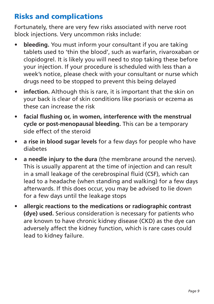## Risks and complications

Fortunately, there are very few risks associated with nerve root block injections. Very uncommon risks include:

- **bleeding.** You must inform your consultant if you are taking tablets used to 'thin the blood', such as warfarin, rivaroxaban or clopidogrel. It is likely you will need to stop taking these before your injection. If your procedure is scheduled with less than a week's notice, please check with your consultant or nurse which drugs need to be stopped to prevent this being delayed
- **infection.** Although this is rare, it is important that the skin on your back is clear of skin conditions like psoriasis or eczema as these can increase the risk
- **facial flushing or, in women, interference with the menstrual cycle or post-menopausal bleeding.** This can be a temporary side effect of the steroid
- **a rise in blood sugar levels** for a few days for people who have diabetes
- **a needle injury to the dura** (the membrane around the nerves). This is usually apparent at the time of injection and can result in a small leakage of the cerebrospinal fluid (CSF), which can lead to a headache (when standing and walking) for a few days afterwards. If this does occur, you may be advised to lie down for a few days until the leakage stops
- **allergic reactions to the medications or radiographic contrast (dye) used.** Serious consideration is necessary for patients who are known to have chronic kidney disease (CKD) as the dye can adversely affect the kidney function, which is rare cases could lead to kidney failure.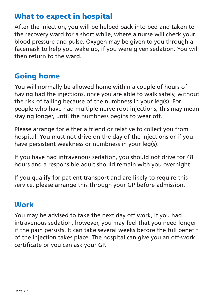## What to expect in hospital

After the injection, you will be helped back into bed and taken to the recovery ward for a short while, where a nurse will check your blood pressure and pulse. Oxygen may be given to you through a facemask to help you wake up, if you were given sedation. You will then return to the ward.

## Going home

You will normally be allowed home within a couple of hours of having had the injections, once you are able to walk safely, without the risk of falling because of the numbness in your leg(s). For people who have had multiple nerve root injections, this may mean staying longer, until the numbness begins to wear off.

Please arrange for either a friend or relative to collect you from hospital. You must not drive on the day of the injections or if you have persistent weakness or numbness in your leg(s).

If you have had intravenous sedation, you should not drive for 48 hours and a responsible adult should remain with you overnight.

If you qualify for patient transport and are likely to require this service, please arrange this through your GP before admission.

#### **Work**

You may be advised to take the next day off work, if you had intravenous sedation, however, you may feel that you need longer if the pain persists. It can take several weeks before the full benefit of the injection takes place. The hospital can give you an off-work certificate or you can ask your GP.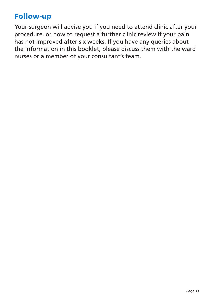#### Follow-up

Your surgeon will advise you if you need to attend clinic after your procedure, or how to request a further clinic review if your pain has not improved after six weeks. If you have any queries about the information in this booklet, please discuss them with the ward nurses or a member of your consultant's team.